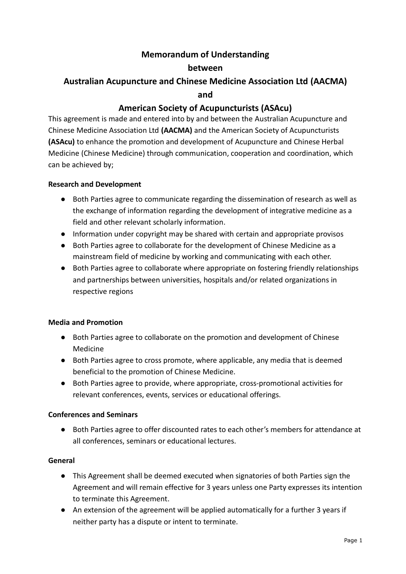# **Memorandum of Understanding**

### **between**

# **Australian Acupuncture and Chinese Medicine Association Ltd (AACMA)**

#### **and**

## **American Society of Acupuncturists (ASAcu)**

This agreement is made and entered into by and between the Australian Acupuncture and Chinese Medicine Association Ltd **(AACMA)** and the American Society of Acupuncturists **(ASAcu)** to enhance the promotion and development of Acupuncture and Chinese Herbal Medicine (Chinese Medicine) through communication, cooperation and coordination, which can be achieved by;

#### **Research and Development**

- Both Parties agree to communicate regarding the dissemination of research as well as the exchange of information regarding the development of integrative medicine as a field and other relevant scholarly information.
- Information under copyright may be shared with certain and appropriate provisos
- Both Parties agree to collaborate for the development of Chinese Medicine as a mainstream field of medicine by working and communicating with each other.
- Both Parties agree to collaborate where appropriate on fostering friendly relationships and partnerships between universities, hospitals and/or related organizations in respective regions

### **Media and Promotion**

- Both Parties agree to collaborate on the promotion and development of Chinese Medicine
- Both Parties agree to cross promote, where applicable, any media that is deemed beneficial to the promotion of Chinese Medicine.
- Both Parties agree to provide, where appropriate, cross-promotional activities for relevant conferences, events, services or educational offerings.

### **Conferences and Seminars**

● Both Parties agree to offer discounted rates to each other's members for attendance at all conferences, seminars or educational lectures.

### **General**

- This Agreement shall be deemed executed when signatories of both Parties sign the Agreement and will remain effective for 3 years unless one Party expresses its intention to terminate this Agreement.
- An extension of the agreement will be applied automatically for a further 3 years if neither party has a dispute or intent to terminate.